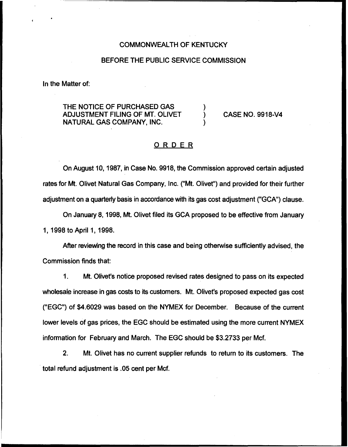#### COMMONWEALTH OF KENTUCKY

### BEFORE THE PUBLIC SERVICE COMMISSION

In the Matter of:

THE NOTICE OF PURCHASED GAS ADJUSTMENT FILING OF MT. OLIVET NATURAL GAS COMPANY, INC.

) CASE NO. 9918-V4

## ORDER

)

)

On August 10, 1987, in Case No. 9918, the Commission approved certain adjusted rates for Mt. Olivet Natural Gas Company, Inc. ("Mt. Olivet") and provided for their further adjustment on a quarterly basis in accordance with its gas cost adjustment ("GCA") clause.

On January 8, 1998, Mt. Olivet filed its GCA proposed to be effective from January 1, 1998to April 1, 1998.

After reviewing the record in this case and being otherwise sufficiently advised, the Commission finds that:

 $1<sub>1</sub>$ Mt. Olivet's notice proposed revised rates designed to pass on its expected wholesale increase in gas costs to its customers. Mt. Olivet's proposed expected gas cost ("EGC") of \$4.6029 was based on the NYMEX for December. Because of the current lower levels of gas prices, the EGC should be estimated using the more current NYMEX information for February and March. The EGC should be \$3.2733 per Mcf.

 $2<sub>1</sub>$ Mt. Olivet has no current supplier refunds to return to its customers. The total refund adjustment is .05 cent per Mcf.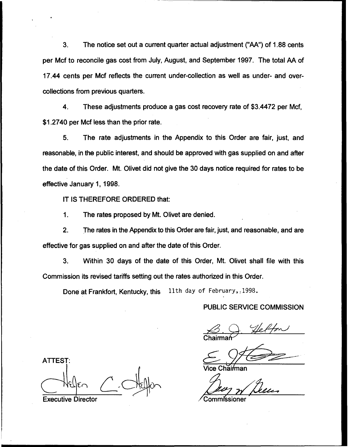3. The notice set out a current quarter actual adjustment ("AA") of 1.88cents per Mcf to reconcile gas cost from July, August, and September 1997. The total AA of 17.44 cents per Mcf reflects the current under-collection as well as under- and overcollections from previous quarters.

4. These adjustments produce a gas cost recovery rate of \$3.4472 per Mcf, \$1.2740 per Mcf less than the prior rate.

5. The rate adjustments in the Appendix to this Order are fair, just, and reasonable, in the public interest, and should be approved with gas supplied on and after the date of this Order. Mt. Olivet did not give the 30 days notice required for rates to be effective January 1, 1998.

IT IS THEREFORE ORDERED that:

1. The rates proposed by Mt. Olivet are denied.

2. The rates in the Appendix to this Order are fair, just, and reasonable, and are effective for gas supplied on and after the date of this Order.

3. Within 30 days of the date of this Order, Mt. Olivet shall file with this Commission its revised tariffs setting out the rates authorized in this Order.

Done at Frankfort, Kentucky, this 11th day of February, 1998.

#### PUBLIC SERVICE COMMISSION

Chairma

ATTEST Executive Director r'Commissioner

ìăiŕman